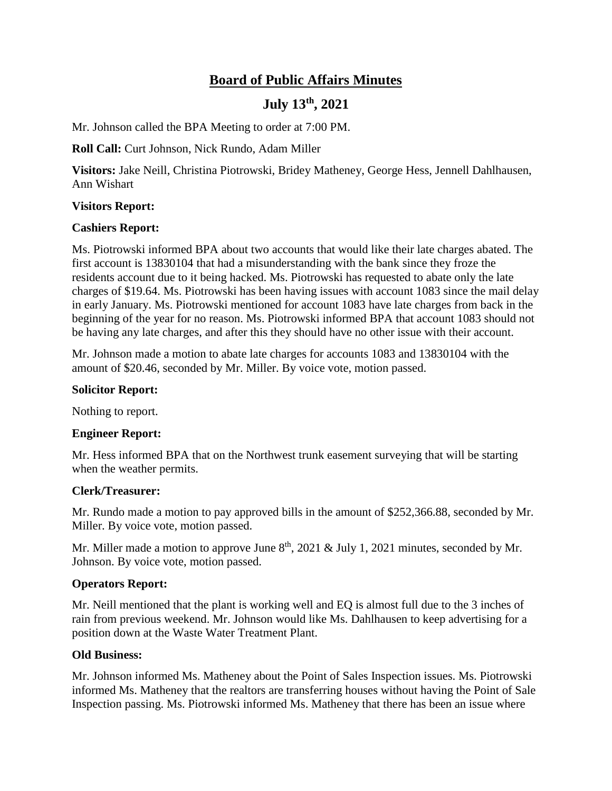# **Board of Public Affairs Minutes**

## **July 13th, 2021**

Mr. Johnson called the BPA Meeting to order at 7:00 PM.

**Roll Call:** Curt Johnson, Nick Rundo, Adam Miller

**Visitors:** Jake Neill, Christina Piotrowski, Bridey Matheney, George Hess, Jennell Dahlhausen, Ann Wishart

### **Visitors Report:**

### **Cashiers Report:**

Ms. Piotrowski informed BPA about two accounts that would like their late charges abated. The first account is 13830104 that had a misunderstanding with the bank since they froze the residents account due to it being hacked. Ms. Piotrowski has requested to abate only the late charges of \$19.64. Ms. Piotrowski has been having issues with account 1083 since the mail delay in early January. Ms. Piotrowski mentioned for account 1083 have late charges from back in the beginning of the year for no reason. Ms. Piotrowski informed BPA that account 1083 should not be having any late charges, and after this they should have no other issue with their account.

Mr. Johnson made a motion to abate late charges for accounts 1083 and 13830104 with the amount of \$20.46, seconded by Mr. Miller. By voice vote, motion passed.

## **Solicitor Report:**

Nothing to report.

#### **Engineer Report:**

Mr. Hess informed BPA that on the Northwest trunk easement surveying that will be starting when the weather permits.

#### **Clerk/Treasurer:**

Mr. Rundo made a motion to pay approved bills in the amount of \$252,366.88, seconded by Mr. Miller. By voice vote, motion passed.

Mr. Miller made a motion to approve June  $8<sup>th</sup>$ , 2021 & July 1, 2021 minutes, seconded by Mr. Johnson. By voice vote, motion passed.

#### **Operators Report:**

Mr. Neill mentioned that the plant is working well and EQ is almost full due to the 3 inches of rain from previous weekend. Mr. Johnson would like Ms. Dahlhausen to keep advertising for a position down at the Waste Water Treatment Plant.

#### **Old Business:**

Mr. Johnson informed Ms. Matheney about the Point of Sales Inspection issues. Ms. Piotrowski informed Ms. Matheney that the realtors are transferring houses without having the Point of Sale Inspection passing. Ms. Piotrowski informed Ms. Matheney that there has been an issue where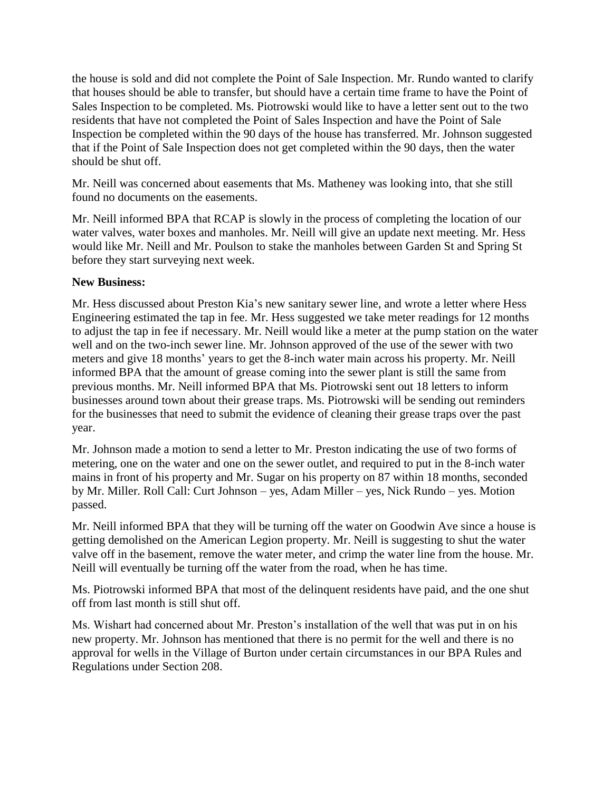the house is sold and did not complete the Point of Sale Inspection. Mr. Rundo wanted to clarify that houses should be able to transfer, but should have a certain time frame to have the Point of Sales Inspection to be completed. Ms. Piotrowski would like to have a letter sent out to the two residents that have not completed the Point of Sales Inspection and have the Point of Sale Inspection be completed within the 90 days of the house has transferred. Mr. Johnson suggested that if the Point of Sale Inspection does not get completed within the 90 days, then the water should be shut off.

Mr. Neill was concerned about easements that Ms. Matheney was looking into, that she still found no documents on the easements.

Mr. Neill informed BPA that RCAP is slowly in the process of completing the location of our water valves, water boxes and manholes. Mr. Neill will give an update next meeting. Mr. Hess would like Mr. Neill and Mr. Poulson to stake the manholes between Garden St and Spring St before they start surveying next week.

## **New Business:**

Mr. Hess discussed about Preston Kia's new sanitary sewer line, and wrote a letter where Hess Engineering estimated the tap in fee. Mr. Hess suggested we take meter readings for 12 months to adjust the tap in fee if necessary. Mr. Neill would like a meter at the pump station on the water well and on the two-inch sewer line. Mr. Johnson approved of the use of the sewer with two meters and give 18 months' years to get the 8-inch water main across his property. Mr. Neill informed BPA that the amount of grease coming into the sewer plant is still the same from previous months. Mr. Neill informed BPA that Ms. Piotrowski sent out 18 letters to inform businesses around town about their grease traps. Ms. Piotrowski will be sending out reminders for the businesses that need to submit the evidence of cleaning their grease traps over the past year.

Mr. Johnson made a motion to send a letter to Mr. Preston indicating the use of two forms of metering, one on the water and one on the sewer outlet, and required to put in the 8-inch water mains in front of his property and Mr. Sugar on his property on 87 within 18 months, seconded by Mr. Miller. Roll Call: Curt Johnson – yes, Adam Miller – yes, Nick Rundo – yes. Motion passed.

Mr. Neill informed BPA that they will be turning off the water on Goodwin Ave since a house is getting demolished on the American Legion property. Mr. Neill is suggesting to shut the water valve off in the basement, remove the water meter, and crimp the water line from the house. Mr. Neill will eventually be turning off the water from the road, when he has time.

Ms. Piotrowski informed BPA that most of the delinquent residents have paid, and the one shut off from last month is still shut off.

Ms. Wishart had concerned about Mr. Preston's installation of the well that was put in on his new property. Mr. Johnson has mentioned that there is no permit for the well and there is no approval for wells in the Village of Burton under certain circumstances in our BPA Rules and Regulations under Section 208.